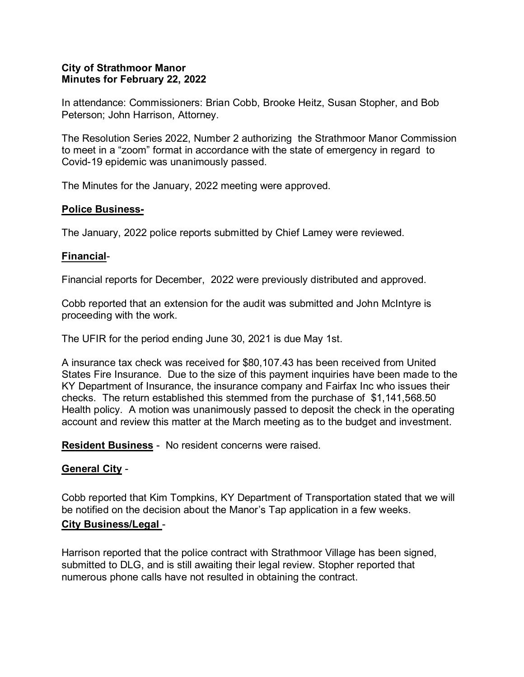#### **City of Strathmoor Manor Minutes for February 22, 2022**

In attendance: Commissioners: Brian Cobb, Brooke Heitz, Susan Stopher, and Bob Peterson; John Harrison, Attorney.

The Resolution Series 2022, Number 2 authorizing the Strathmoor Manor Commission to meet in a "zoom" format in accordance with the state of emergency in regard to Covid-19 epidemic was unanimously passed.

The Minutes for the January, 2022 meeting were approved.

#### **Police Business-**

The January, 2022 police reports submitted by Chief Lamey were reviewed.

#### **Financial**-

Financial reports for December, 2022 were previously distributed and approved.

Cobb reported that an extension for the audit was submitted and John McIntyre is proceeding with the work.

The UFIR for the period ending June 30, 2021 is due May 1st.

A insurance tax check was received for \$80,107.43 has been received from United States Fire Insurance. Due to the size of this payment inquiries have been made to the KY Department of Insurance, the insurance company and Fairfax Inc who issues their checks. The return established this stemmed from the purchase of \$1,141,568.50 Health policy. A motion was unanimously passed to deposit the check in the operating account and review this matter at the March meeting as to the budget and investment.

**Resident Business** - No resident concerns were raised.

#### **General City** -

Cobb reported that Kim Tompkins, KY Department of Transportation stated that we will be notified on the decision about the Manor's Tap application in a few weeks. **City Business/Legal** -

Harrison reported that the police contract with Strathmoor Village has been signed, submitted to DLG, and is still awaiting their legal review. Stopher reported that numerous phone calls have not resulted in obtaining the contract.